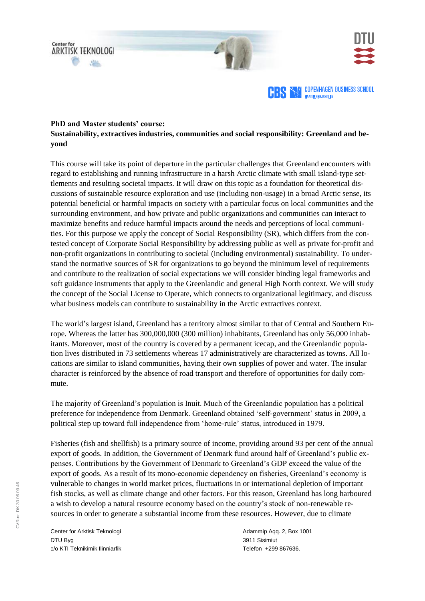





## **PhD and Master students' course: Sustainability, extractives industries, communities and social responsibility: Greenland and beyond**

This course will take its point of departure in the particular challenges that Greenland encounters with regard to establishing and running infrastructure in a harsh Arctic climate with small island-type settlements and resulting societal impacts. It will draw on this topic as a foundation for theoretical discussions of sustainable resource exploration and use (including non-usage) in a broad Arctic sense, its potential beneficial or harmful impacts on society with a particular focus on local communities and the surrounding environment, and how private and public organizations and communities can interact to maximize benefits and reduce harmful impacts around the needs and perceptions of local communities. For this purpose we apply the concept of Social Responsibility (SR), which differs from the contested concept of Corporate Social Responsibility by addressing public as well as private for-profit and non-profit organizations in contributing to societal (including environmental) sustainability. To understand the normative sources of SR for organizations to go beyond the minimum level of requirements and contribute to the realization of social expectations we will consider binding legal frameworks and soft guidance instruments that apply to the Greenlandic and general High North context. We will study the concept of the Social License to Operate, which connects to organizational legitimacy, and discuss what business models can contribute to sustainability in the Arctic extractives context.

The world's largest island, Greenland has a territory almost similar to that of Central and Southern Europe. Whereas the latter has 300,000,000 (300 million) inhabitants, Greenland has only 56,000 inhabitants. Moreover, most of the country is covered by a permanent icecap, and the Greenlandic population lives distributed in 73 settlements whereas 17 administratively are characterized as towns. All locations are similar to island communities, having their own supplies of power and water. The insular character is reinforced by the absence of road transport and therefore of opportunities for daily commute.

The majority of Greenland's population is Inuit. Much of the Greenlandic population has a political preference for independence from Denmark. Greenland obtained 'self-government' status in 2009, a political step up toward full independence from 'home-rule' status, introduced in 1979.

Fisheries (fish and shellfish) is a primary source of income, providing around 93 per cent of the annual export of goods. In addition, the Government of Denmark fund around half of Greenland's public expenses. Contributions by the Government of Denmark to Greenland's GDP exceed the value of the export of goods. As a result of its mono-economic dependency on fisheries, Greenland's economy is vulnerable to changes in world market prices, fluctuations in or international depletion of important fish stocks, as well as climate change and other factors. For this reason, Greenland has long harboured a wish to develop a natural resource economy based on the country's stock of non-renewable resources in order to generate a substantial income from these resources. However, due to climate

Center for Arktisk Teknologi DTU Byg c/o KTI Teknikimik Ilinniarfik

Adammip Aqq. 2, Box 1001 3911 Sisimiut Telefon +299 867636.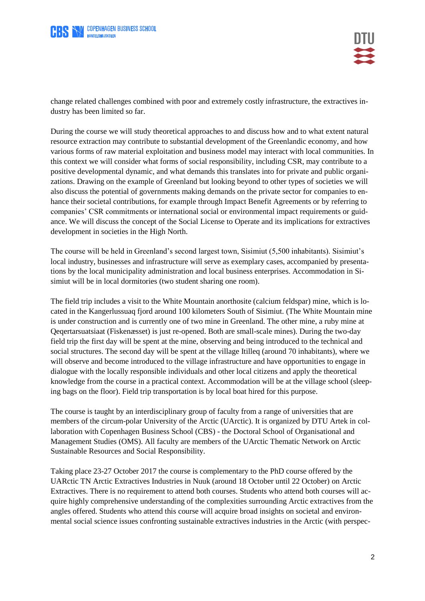



change related challenges combined with poor and extremely costly infrastructure, the extractives industry has been limited so far.

During the course we will study theoretical approaches to and discuss how and to what extent natural resource extraction may contribute to substantial development of the Greenlandic economy, and how various forms of raw material exploitation and business model may interact with local communities. In this context we will consider what forms of social responsibility, including CSR, may contribute to a positive developmental dynamic, and what demands this translates into for private and public organizations. Drawing on the example of Greenland but looking beyond to other types of societies we will also discuss the potential of governments making demands on the private sector for companies to enhance their societal contributions, for example through Impact Benefit Agreements or by referring to companies' CSR commitments or international social or environmental impact requirements or guidance. We will discuss the concept of the Social License to Operate and its implications for extractives development in societies in the High North.

The course will be held in Greenland's second largest town, Sisimiut (5,500 inhabitants). Sisimiut's local industry, businesses and infrastructure will serve as exemplary cases, accompanied by presentations by the local municipality administration and local business enterprises. Accommodation in Sisimiut will be in local dormitories (two student sharing one room).

The field trip includes a visit to the White Mountain anorthosite (calcium feldspar) mine, which is located in the Kangerlussuaq fjord around 100 kilometers South of Sisimiut. (The White Mountain mine is under construction and is currently one of two mine in Greenland. The other mine, a ruby mine at Qeqertarsuatsiaat (Fiskenæsset) is just re-opened. Both are small-scale mines). During the two-day field trip the first day will be spent at the mine, observing and being introduced to the technical and social structures. The second day will be spent at the village Itilleq (around 70 inhabitants), where we will observe and become introduced to the village infrastructure and have opportunities to engage in dialogue with the locally responsible individuals and other local citizens and apply the theoretical knowledge from the course in a practical context. Accommodation will be at the village school (sleeping bags on the floor). Field trip transportation is by local boat hired for this purpose.

The course is taught by an interdisciplinary group of faculty from a range of universities that are members of the circum-polar University of the Arctic (UArctic). It is organized by DTU Artek in collaboration with Copenhagen Business School (CBS) - the Doctoral School of Organisational and Management Studies (OMS). All faculty are members of the UArctic Thematic Network on Arctic Sustainable Resources and Social Responsibility.

Taking place 23-27 October 2017 the course is complementary to the PhD course offered by the UARctic TN Arctic Extractives Industries in Nuuk (around 18 October until 22 October) on Arctic Extractives. There is no requirement to attend both courses. Students who attend both courses will acquire highly comprehensive understanding of the complexities surrounding Arctic extractives from the angles offered. Students who attend this course will acquire broad insights on societal and environmental social science issues confronting sustainable extractives industries in the Arctic (with perspec-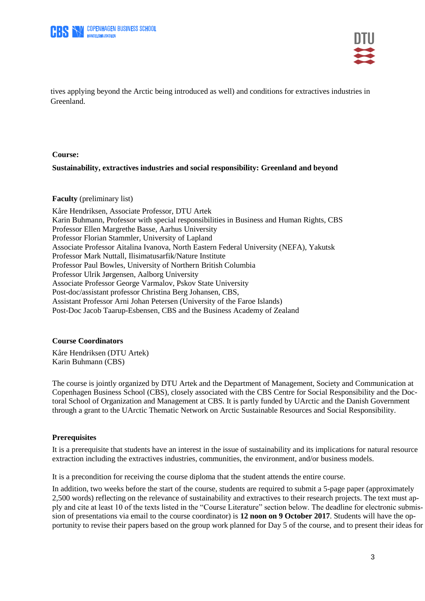



tives applying beyond the Arctic being introduced as well) and conditions for extractives industries in Greenland.

### **Course:**

## **Sustainability, extractives industries and social responsibility: Greenland and beyond**

#### **Faculty** (preliminary list)

Kåre Hendriksen, Associate Professor, DTU Artek Karin Buhmann, Professor with special responsibilities in Business and Human Rights, CBS Professor Ellen Margrethe Basse, Aarhus University Professor Florian Stammler, University of Lapland Associate Professor Aitalina Ivanova, North Eastern Federal University (NEFA), Yakutsk Professor Mark Nuttall, Ilisimatusarfik/Nature Institute Professor Paul Bowles, University of Northern British Columbia Professor Ulrik Jørgensen, Aalborg University Associate Professor George Varmalov, Pskov State University Post-doc/assistant professor Christina Berg Johansen, CBS, Assistant Professor Arni Johan Petersen (University of the Faroe Islands) Post-Doc Jacob Taarup-Esbensen, CBS and the Business Academy of Zealand

### **Course Coordinators**

Kåre Hendriksen (DTU Artek) Karin Buhmann (CBS)

The course is jointly organized by DTU Artek and the Department of Management, Society and Communication at Copenhagen Business School (CBS), closely associated with the CBS Centre for Social Responsibility and the Doctoral School of Organization and Management at CBS. It is partly funded by UArctic and the Danish Government through a grant to the UArctic Thematic Network on Arctic Sustainable Resources and Social Responsibility.

### **Prerequisites**

It is a prerequisite that students have an interest in the issue of sustainability and its implications for natural resource extraction including the extractives industries, communities, the environment, and/or business models.

It is a precondition for receiving the course diploma that the student attends the entire course.

In addition, two weeks before the start of the course, students are required to submit a 5-page paper (approximately 2,500 words) reflecting on the relevance of sustainability and extractives to their research projects. The text must apply and cite at least 10 of the texts listed in the "Course Literature" section below. The deadline for electronic submission of presentations via email to the course coordinator) is **12 noon on 9 October 2017**. Students will have the opportunity to revise their papers based on the group work planned for Day 5 of the course, and to present their ideas for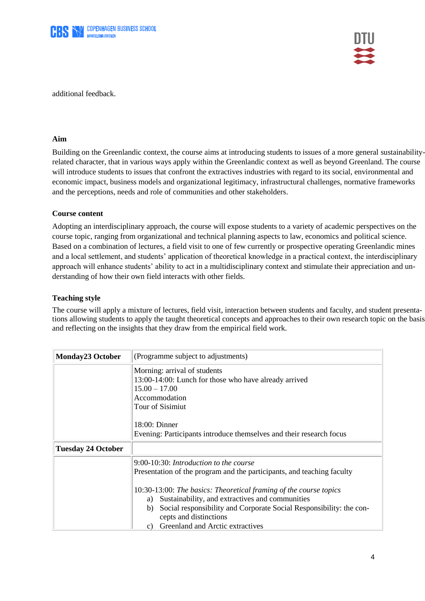



additional feedback.

## **Aim**

Building on the Greenlandic context, the course aims at introducing students to issues of a more general sustainabilityrelated character, that in various ways apply within the Greenlandic context as well as beyond Greenland. The course will introduce students to issues that confront the extractives industries with regard to its social, environmental and economic impact, business models and organizational legitimacy, infrastructural challenges, normative frameworks and the perceptions, needs and role of communities and other stakeholders.

## **Course content**

Adopting an interdisciplinary approach, the course will expose students to a variety of academic perspectives on the course topic, ranging from organizational and technical planning aspects to law, economics and political science. Based on a combination of lectures, a field visit to one of few currently or prospective operating Greenlandic mines and a local settlement, and students' application of theoretical knowledge in a practical context, the interdisciplinary approach will enhance students' ability to act in a multidisciplinary context and stimulate their appreciation and understanding of how their own field interacts with other fields.

## **Teaching style**

The course will apply a mixture of lectures, field visit, interaction between students and faculty, and student presentations allowing students to apply the taught theoretical concepts and approaches to their own research topic on the basis and reflecting on the insights that they draw from the empirical field work.

| <b>Monday23 October</b>   | (Programme subject to adjustments)                                                                                                            |
|---------------------------|-----------------------------------------------------------------------------------------------------------------------------------------------|
|                           | Morning: arrival of students<br>13:00-14:00: Lunch for those who have already arrived<br>$15.00 - 17.00$<br>Accommodation<br>Tour of Sisimiut |
|                           | $18:00:$ Dinner                                                                                                                               |
|                           | Evening: Participants introduce themselves and their research focus                                                                           |
| <b>Tuesday 24 October</b> |                                                                                                                                               |
|                           | $9:00-10:30$ : Introduction to the course                                                                                                     |
|                           | Presentation of the program and the participants, and teaching faculty                                                                        |
|                           | 10:30-13:00: The basics: Theoretical framing of the course topics<br>Sustainability, and extractives and communities<br>a)                    |
|                           | Social responsibility and Corporate Social Responsibility: the con-<br>b)                                                                     |
|                           | cepts and distinctions<br>Greenland and Arctic extractives<br>C)                                                                              |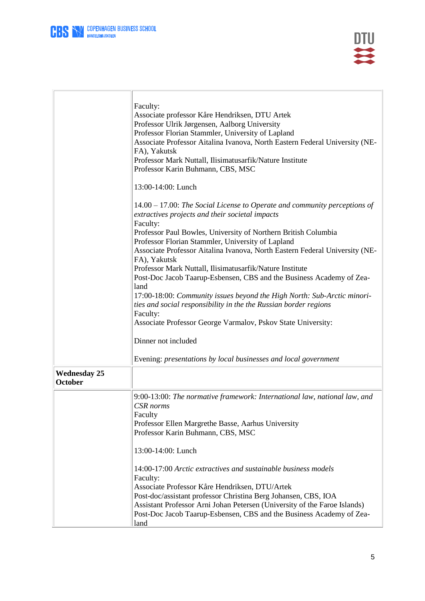

FÍ

|                                       | Faculty:<br>Associate professor Kåre Hendriksen, DTU Artek<br>Professor Ulrik Jørgensen, Aalborg University<br>Professor Florian Stammler, University of Lapland<br>Associate Professor Aitalina Ivanova, North Eastern Federal University (NE-<br>FA), Yakutsk<br>Professor Mark Nuttall, Ilisimatusarfik/Nature Institute<br>Professor Karin Buhmann, CBS, MSC |
|---------------------------------------|------------------------------------------------------------------------------------------------------------------------------------------------------------------------------------------------------------------------------------------------------------------------------------------------------------------------------------------------------------------|
|                                       | 13:00-14:00: Lunch                                                                                                                                                                                                                                                                                                                                               |
|                                       | $14.00 - 17.00$ : The Social License to Operate and community perceptions of<br>extractives projects and their societal impacts<br>Faculty:                                                                                                                                                                                                                      |
|                                       | Professor Paul Bowles, University of Northern British Columbia                                                                                                                                                                                                                                                                                                   |
|                                       | Professor Florian Stammler, University of Lapland<br>Associate Professor Aitalina Ivanova, North Eastern Federal University (NE-                                                                                                                                                                                                                                 |
|                                       | FA), Yakutsk                                                                                                                                                                                                                                                                                                                                                     |
|                                       | Professor Mark Nuttall, Ilisimatusarfik/Nature Institute<br>Post-Doc Jacob Taarup-Esbensen, CBS and the Business Academy of Zea-                                                                                                                                                                                                                                 |
|                                       | land                                                                                                                                                                                                                                                                                                                                                             |
|                                       | 17:00-18:00: Community issues beyond the High North: Sub-Arctic minori-<br>ties and social responsibility in the the Russian border regions                                                                                                                                                                                                                      |
|                                       | Faculty:<br>Associate Professor George Varmalov, Pskov State University:                                                                                                                                                                                                                                                                                         |
|                                       | Dinner not included                                                                                                                                                                                                                                                                                                                                              |
|                                       | Evening: presentations by local businesses and local government                                                                                                                                                                                                                                                                                                  |
| <b>Wednesday 25</b><br><b>October</b> |                                                                                                                                                                                                                                                                                                                                                                  |
|                                       | 9:00-13:00: The normative framework: International law, national law, and<br>CSR norms                                                                                                                                                                                                                                                                           |
|                                       | Faculty                                                                                                                                                                                                                                                                                                                                                          |
|                                       | Professor Ellen Margrethe Basse, Aarhus University<br>Professor Karin Buhmann, CBS, MSC                                                                                                                                                                                                                                                                          |
|                                       | 13:00-14:00: Lunch                                                                                                                                                                                                                                                                                                                                               |
|                                       | 14:00-17:00 Arctic extractives and sustainable business models                                                                                                                                                                                                                                                                                                   |
|                                       | Faculty:                                                                                                                                                                                                                                                                                                                                                         |
|                                       | Associate Professor Kåre Hendriksen, DTU/Artek                                                                                                                                                                                                                                                                                                                   |
|                                       | Post-doc/assistant professor Christina Berg Johansen, CBS, IOA                                                                                                                                                                                                                                                                                                   |
|                                       | Assistant Professor Arni Johan Petersen (University of the Faroe Islands)<br>Post-Doc Jacob Taarup-Esbensen, CBS and the Business Academy of Zea-                                                                                                                                                                                                                |
|                                       | land                                                                                                                                                                                                                                                                                                                                                             |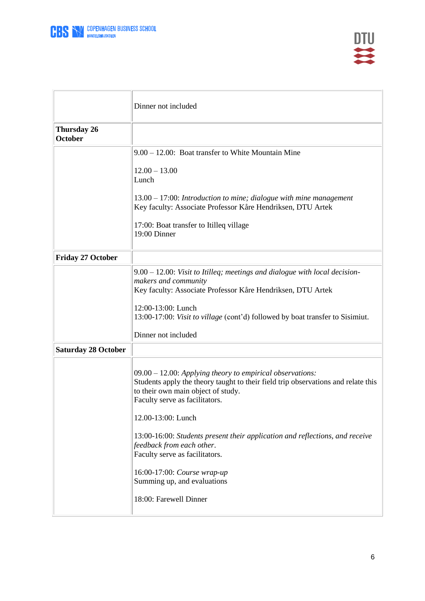

|                                      | Dinner not included                                                                                                                                                                                                                                                                                                                                                                                                                                                                    |
|--------------------------------------|----------------------------------------------------------------------------------------------------------------------------------------------------------------------------------------------------------------------------------------------------------------------------------------------------------------------------------------------------------------------------------------------------------------------------------------------------------------------------------------|
| <b>Thursday 26</b><br><b>October</b> |                                                                                                                                                                                                                                                                                                                                                                                                                                                                                        |
|                                      | $9.00 - 12.00$ : Boat transfer to White Mountain Mine                                                                                                                                                                                                                                                                                                                                                                                                                                  |
|                                      | $12.00 - 13.00$<br>Lunch                                                                                                                                                                                                                                                                                                                                                                                                                                                               |
|                                      | $13.00 - 17:00$ : Introduction to mine; dialogue with mine management<br>Key faculty: Associate Professor Kåre Hendriksen, DTU Artek                                                                                                                                                                                                                                                                                                                                                   |
|                                      | 17:00: Boat transfer to Itilleq village<br>19:00 Dinner                                                                                                                                                                                                                                                                                                                                                                                                                                |
| <b>Friday 27 October</b>             |                                                                                                                                                                                                                                                                                                                                                                                                                                                                                        |
|                                      | $9.00 - 12.00$ : Visit to Itilleq; meetings and dialogue with local decision-<br>makers and community<br>Key faculty: Associate Professor Kåre Hendriksen, DTU Artek<br>12:00-13:00: Lunch<br>13:00-17:00: Visit to village (cont'd) followed by boat transfer to Sisimiut.<br>Dinner not included                                                                                                                                                                                     |
| <b>Saturday 28 October</b>           |                                                                                                                                                                                                                                                                                                                                                                                                                                                                                        |
|                                      | $09.00 - 12.00$ : Applying theory to empirical observations:<br>Students apply the theory taught to their field trip observations and relate this<br>to their own main object of study.<br>Faculty serve as facilitators.<br>12.00-13:00: Lunch<br>13:00-16:00: Students present their application and reflections, and receive<br>feedback from each other.<br>Faculty serve as facilitators.<br>16:00-17:00: Course wrap-up<br>Summing up, and evaluations<br>18:00: Farewell Dinner |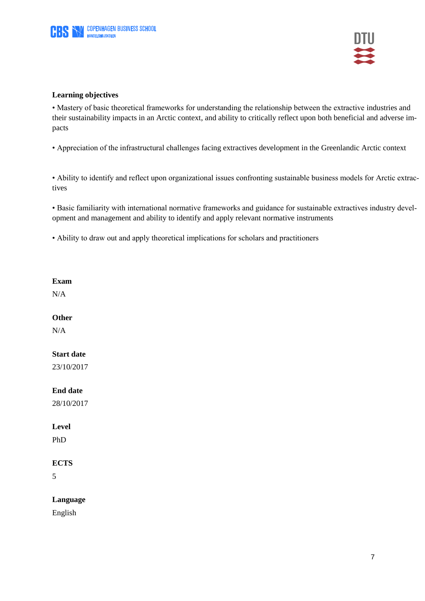

## **Learning objectives**

• Mastery of basic theoretical frameworks for understanding the relationship between the extractive industries and their sustainability impacts in an Arctic context, and ability to critically reflect upon both beneficial and adverse impacts

• Appreciation of the infrastructural challenges facing extractives development in the Greenlandic Arctic context

• Ability to identify and reflect upon organizational issues confronting sustainable business models for Arctic extractives

• Basic familiarity with international normative frameworks and guidance for sustainable extractives industry development and management and ability to identify and apply relevant normative instruments

• Ability to draw out and apply theoretical implications for scholars and practitioners

## **Exam**

N/A

## **Other**

N/A

## **Start date**

23/10/2017

## **End date**

28/10/2017

## **Level**

PhD

# **ECTS**

5

# **Language**

English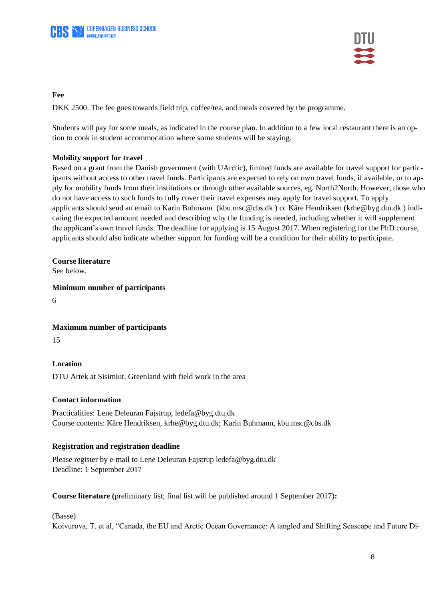

## **Fee**

DKK 2500. The fee goes towards field trip, coffee/tea, and meals covered by the programme.

Students will pay for some meals, as indicated in the course plan. In addition to a few local restaurant there is an option to cook in student accommocation where some students will be staying.

# **Mobility support for travel**

Based on a grant from the Danish government (with UArctic), limited funds are available for travel support for participants without access to other travel funds. Participants are expected to rely on own travel funds, if available, or to apply for mobility funds from their institutions or through other available sources, eg. North2North. However, those who do not have access to such funds to fully cover their travel expenses may apply for travel support. To apply applicants should send an email to Karin Buhmann [\(kbu.msc@cbs.dk](mailto:kbu.msc@cbs.dk) ) cc Kåre Hendriksen [\(krhe@byg.dtu.dk](mailto:krhe@byg.dtu.dk) ) indicating the expected amount needed and describing why the funding is needed, including whether it will supplement the applicant's own travel funds. The deadline for applying is 15 August 2017. When registering for the PhD course, applicants should also indicate whether support for funding will be a condition for their ability to participate.

# **Course literature**

See below.

# **Minimum number of participants**

6

# **Maximum number of participants**

15

# **Location**

DTU Artek at Sisimiut, Greenland with field work in the area

# **Contact information**

Practicalities: Lene Deleuran Fajstrup, ledefa@byg.dtu.dk Course contents: Kåre Hendriksen, [krhe@byg.dtu.dk;](mailto:krhe@byg.dtu.dk) Karin Buhmann, kbu.msc@cbs.dk

# **Registration and registration deadline**

Please register by e-mail to Lene Deleuran Fajstrup ledefa@byg.dtu.dk Deadline: 1 September 2017

**Course literature (**preliminary list; final list will be published around 1 September 2017)**:**

## (Basse)

Koivurova, T. et al, "Canada, the EU and Arctic Ocean Governance: A tangled and Shifting Seascape and Future Di-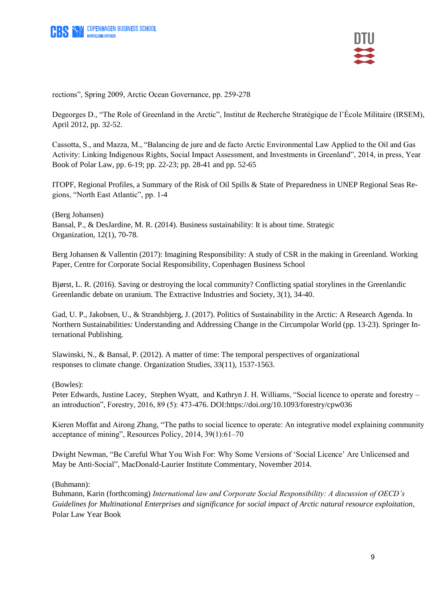

rections", Spring 2009, Arctic Ocean Governance, pp. 259-278

Degeorges D., "The Role of Greenland in the Arctic", Institut de Recherche Stratégique de l'Ècole Militaire (IRSEM), April 2012, pp. 32-52.

Cassotta, S., and Mazza, M., "Balancing de jure and de facto Arctic Environmental Law Applied to the Oil and Gas Activity: Linking Indigenous Rights, Social Impact Assessment, and Investments in Greenland", 2014, in press, Year Book of Polar Law, pp. 6-19; pp. 22-23; pp. 28-41 and pp. 52-65

ITOPF, Regional Profiles, a Summary of the Risk of Oil Spills & State of Preparedness in UNEP Regional Seas Regions, "North East Atlantic", pp. 1-4

(Berg Johansen) Bansal, P., & DesJardine, M. R. (2014). Business sustainability: It is about time. Strategic Organization, 12(1), 70-78.

Berg Johansen & Vallentin (2017): Imagining Responsibility: A study of CSR in the making in Greenland. Working Paper, Centre for Corporate Social Responsibility, Copenhagen Business School

Bjørst, L. R. (2016). Saving or destroying the local community? Conflicting spatial storylines in the Greenlandic Greenlandic debate on uranium. The Extractive Industries and Society, 3(1), 34-40.

Gad, U. P., Jakobsen, U., & Strandsbjerg, J. (2017). Politics of Sustainability in the Arctic: A Research Agenda. In Northern Sustainabilities: Understanding and Addressing Change in the Circumpolar World (pp. 13-23). Springer International Publishing.

Slawinski, N., & Bansal, P. (2012). A matter of time: The temporal perspectives of organizational responses to climate change. Organization Studies, 33(11), 1537-1563.

(Bowles):

Peter Edwards, Justine Lacey, Stephen Wyatt, and Kathryn J. H. Williams, "Social licence to operate and forestry – an introduction", Forestry, 2016, 89 (5): 473-476. DOI[:https://doi.org/10.1093/forestry/cpw036](https://doi.org/10.1093/forestry/cpw036)

Kieren Moffat and Airong Zhang, "The paths to social licence to operate: An integrative model explaining community acceptance of mining", Resources Policy, 2014, 39(1):61–70

Dwight Newman, "Be Careful What You Wish For: Why Some Versions of 'Social Licence' Are Unlicensed and May be Anti-Social", MacDonald-Laurier Institute Commentary, November 2014.

(Buhmann):

Buhmann, Karin (forthcoming) *International law and Corporate Social Responsibility: A discussion of OECD's Guidelines for Multinational Enterprises and significance for social impact of Arctic natural resource exploitation*, Polar Law Year Book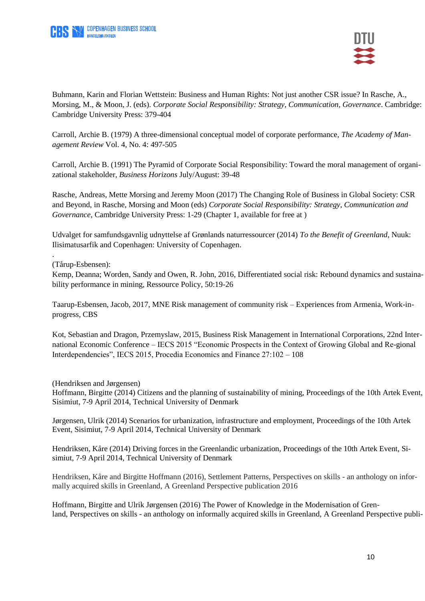



Buhmann, Karin and Florian Wettstein: Business and Human Rights: Not just another CSR issue? In Rasche, A., Morsing, M., & Moon, J. (eds). *Corporate Social Responsibility: Strategy, Communication, Governance*. Cambridge: Cambridge University Press: 379-404

Carroll, Archie B. (1979) A three-dimensional conceptual model of corporate performance, *The Academy of Management Review* Vol. 4, No. 4: 497-505

Carroll, Archie B. (1991) The Pyramid of Corporate Social Responsibility: Toward the moral management of organizational stakeholder, *Business Horizons* July/August: 39-48

Rasche, Andreas, Mette Morsing and Jeremy Moon (2017) The Changing Role of Business in Global Society: CSR and Beyond, in Rasche, Morsing and Moon (eds) *Corporate Social Responsibility: Strategy, Communication and Governance*, Cambridge University Press: 1-29 (Chapter 1, available for free at )

Udvalget for samfundsgavnlig udnyttelse af Grønlands naturressourcer (2014) *To the Benefit of Greenland*, Nuuk: Ilisimatusarfik and Copenhagen: University of Copenhagen.

(Tårup-Esbensen):

.

Kemp, Deanna; Worden, Sandy and Owen, R. John, 2016, Differentiated social risk: Rebound dynamics and sustainability performance in mining, Ressource Policy, 50:19-26

Taarup-Esbensen, Jacob, 2017, MNE Risk management of community risk – Experiences from Armenia, Work-inprogress, CBS

Kot, Sebastian and Dragon, Przemyslaw, 2015, Business Risk Management in International Corporations, 22nd International Economic Conference – IECS 2015 "Economic Prospects in the Context of Growing Global and Re-gional Interdependencies", IECS 2015, Procedia Economics and Finance 27:102 – 108

(Hendriksen and Jørgensen)

Hoffmann, Birgitte (2014) Citizens and the planning of sustainability of mining, Proceedings of the 10th Artek Event, Sisimiut, 7-9 April 2014, Technical University of Denmark

Jørgensen, Ulrik (2014) Scenarios for urbanization, infrastructure and employment, Proceedings of the 10th Artek Event, Sisimiut, 7-9 April 2014, Technical University of Denmark

Hendriksen, Kåre (2014) Driving forces in the Greenlandic urbanization, Proceedings of the 10th Artek Event, Sisimiut, 7-9 April 2014, Technical University of Denmark

Hendriksen, Kåre and Birgitte Hoffmann (2016), Settlement Patterns, Perspectives on skills - an anthology on informally acquired skills in Greenland, A Greenland Perspective publication 2016

Hoffmann, Birgitte and Ulrik Jørgensen (2016) The Power of Knowledge in the Modernisation of Grenland, Perspectives on skills - an anthology on informally acquired skills in Greenland, A Greenland Perspective publi-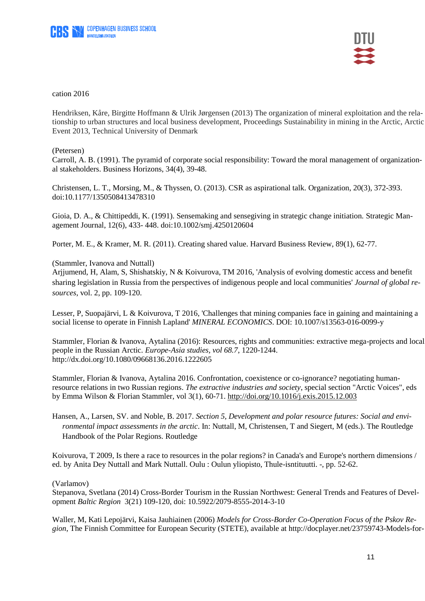

cation 2016

Hendriksen, Kåre, Birgitte Hoffmann & Ulrik Jørgensen (2013) The organization of mineral exploitation and the relationship to urban structures and local business development, Proceedings Sustainability in mining in the Arctic, Arctic Event 2013, Technical University of Denmark

(Petersen)

Carroll, A. B. (1991). The pyramid of corporate social responsibility: Toward the moral management of organizational stakeholders. Business Horizons, 34(4), 39-48.

Christensen, L. T., Morsing, M., & Thyssen, O. (2013). CSR as aspirational talk. Organization, 20(3), 372-393. doi:10.1177/1350508413478310

Gioia, D. A., & Chittipeddi, K. (1991). Sensemaking and sensegiving in strategic change initiation. Strategic Management Journal, 12(6), 433- 448. doi:10.1002/smj.4250120604

Porter, M. E., & Kramer, M. R. (2011). Creating shared value. Harvard Business Review, 89(1), 62-77.

(Stammler, Ivanova and Nuttall)

Arjjumend, H, Alam, S, Shishatskiy, N & Koivurova, TM 2016, 'Analysis of evolving domestic access and benefit sharing legislation in Russia from the perspectives of indigenous people and local communities' *Journal of global resources*, vol. 2, pp. 109-120.

Lesser, P, Suopajärvi, L & Koivurova, T 2016, 'Challenges that mining companies face in gaining and maintaining a social license to operate in Finnish Lapland' *MINERAL ECONOMICS*. DOI: 10.1007/s13563-016-0099-y

Stammler, Florian & Ivanova, Aytalina (2016): Resources, rights and communities: extractive mega-projects and local people in the Russian Arctic. *Europe-Asia studies, vol 68.7*, 1220-1244. <http://dx.doi.org/10.1080/09668136.2016.1222605>

Stammler, Florian & Ivanova, Aytalina 2016. Confrontation, coexistence or co-ignorance? negotiating humanresource relations in two Russian regions. *The extractive industries and society*, special section "Arctic Voices", eds by Emma Wilson & Florian Stammler, vol 3(1), 60-71.<http://doi.org/10.1016/j.exis.2015.12.003>

Koivurova, T 2009, Is there a race to resources in the polar regions? in Canada's and Europe's northern dimensions / ed. by Anita Dey Nuttall and Mark Nuttall. Oulu : Oulun yliopisto, Thule-isntituutti. -, pp. 52-62.

(Varlamov)

Stepanova, Svetlana (2014) Cross-Border Tourism in the Russian Northwest: General Trends and Features of Development *Baltic Region* 3(21) 109-120, doi: 10.5922/2079-8555-2014-3-10

Waller, M, Kati Lepojärvi, Kaisa Jauhiainen (2006) *Models for Cross-Border Co-Operation Focus of the Pskov Region*, The Finnish Committee for European Security (STETE), available at [http://docplayer.net/23759743-Models-for-](http://docplayer.net/23759743-Models-for-cross-border-co-operation-focus-on-the-pskov-region.html)

Hansen, A., Larsen, SV. and Noble, B. 2017. *Section 5, Development and polar resource futures: Social and environmental impact assessments in the arctic*. In: Nuttall, M, Christensen, T and Siegert, M (eds.). The Routledge Handbook of the Polar Regions. Routledge